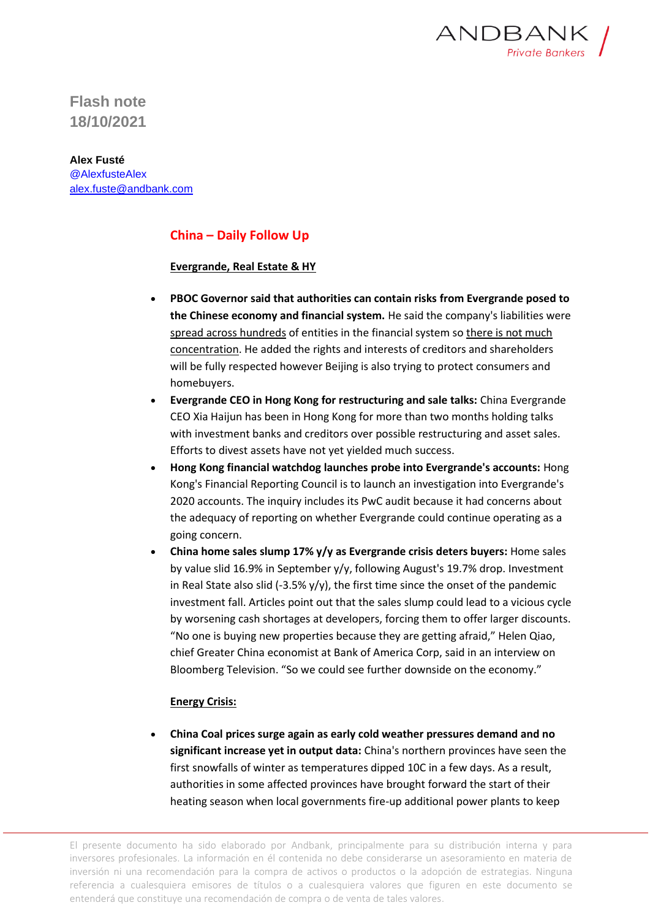

**Flash note 18/10/2021**

**Alex Fusté** @AlexfusteAlex [alex.fuste@andbank.com](mailto:alex.fuste@andbank.com)

## **China – Daily Follow Up**

## **Evergrande, Real Estate & HY**

- **PBOC Governor said that authorities can contain risks from Evergrande posed to the Chinese economy and financial system.** He said the company's liabilities were spread across hundreds of entities in the financial system so there is not much concentration. He added the rights and interests of creditors and shareholders will be fully respected however Beijing is also trying to protect consumers and homebuyers.
- **Evergrande CEO in Hong Kong for restructuring and sale talks:** China Evergrande CEO Xia Haijun has been in Hong Kong for more than two months holding talks with investment banks and creditors over possible restructuring and asset sales. Efforts to divest assets have not yet yielded much success.
- **Hong Kong financial watchdog launches probe into Evergrande's accounts:** Hong Kong's Financial Reporting Council is to launch an investigation into Evergrande's 2020 accounts. The inquiry includes its PwC audit because it had concerns about the adequacy of reporting on whether Evergrande could continue operating as a going concern.
- **China home sales slump 17% y/y as Evergrande crisis deters buyers:** Home sales by value slid 16.9% in September y/y, following August's 19.7% drop. Investment in Real State also slid (-3.5%  $y/y$ ), the first time since the onset of the pandemic investment fall. Articles point out that the sales slump could lead to a vicious cycle by worsening cash shortages at developers, forcing them to offer larger discounts. "No one is buying new properties because they are getting afraid," Helen Qiao, chief Greater China economist at Bank of America Corp, said in an interview on Bloomberg Television. "So we could see further downside on the economy."

## **Energy Crisis:**

• **China Coal prices surge again as early cold weather pressures demand and no significant increase yet in output data:** China's northern provinces have seen the first snowfalls of winter as temperatures dipped 10C in a few days. As a result, authorities in some affected provinces have brought forward the start of their heating season when local governments fire-up additional power plants to keep

El presente documento ha sido elaborado por Andbank, principalmente para su distribución interna y para inversores profesionales. La información en él contenida no debe considerarse un asesoramiento en materia de inversión ni una recomendación para la compra de activos o productos o la adopción de estrategias. Ninguna referencia a cualesquiera emisores de títulos o a cualesquiera valores que figuren en este documento se entenderá que constituye una recomendación de compra o de venta de tales valores.